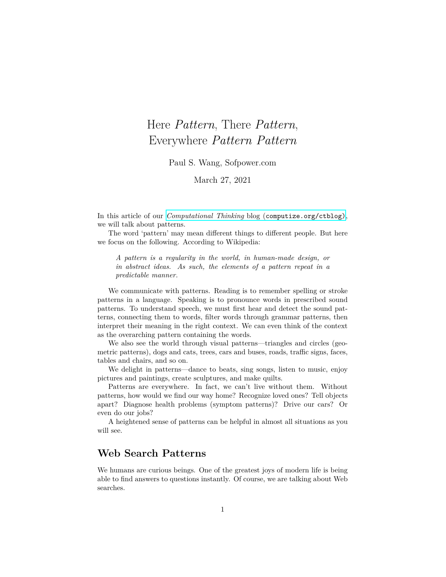# Here *Pattern*, There *Pattern*, Everywhere *Pattern Pattern*

Paul S. Wang, Sofpower.com

March 27, 2021

In this article of our *Computational Thinking* blog ([computize.org/ctblog\)](https://computize.org/ctblog), we will talk about patterns.

The word 'pattern' may mean different things to different people. But here we focus on the following. According to Wikipedia:

*A pattern is a regularity in the world, in human-made design, or in abstract ideas. As such, the elements of a pattern repeat in a predictable manner.*

We communicate with patterns. Reading is to remember spelling or stroke patterns in a language. Speaking is to pronounce words in prescribed sound patterns. To understand speech, we must first hear and detect the sound patterns, connecting them to words, filter words through grammar patterns, then interpret their meaning in the right context. We can even think of the context as the overarching pattern containing the words.

We also see the world through visual patterns—triangles and circles (geometric patterns), dogs and cats, trees, cars and buses, roads, traffic signs, faces, tables and chairs, and so on.

We delight in patterns—dance to beats, sing songs, listen to music, enjoy pictures and paintings, create sculptures, and make quilts.

Patterns are everywhere. In fact, we can't live without them. Without patterns, how would we find our way home? Recognize loved ones? Tell objects apart? Diagnose health problems (symptom patterns)? Drive our cars? Or even do our jobs?

A heightened sense of patterns can be helpful in almost all situations as you will see.

# **Web Search Patterns**

We humans are curious beings. One of the greatest joys of modern life is being able to find answers to questions instantly. Of course, we are talking about Web searches.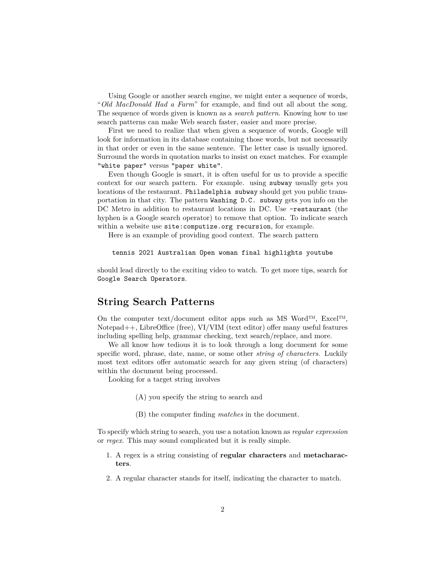Using Google or another search engine, we might enter a sequence of words, "*Old MacDonald Had a Farm*" for example, and find out all about the song. The sequence of words given is known as a *search pattern*. Knowing how to use search patterns can make Web search faster, easier and more precise.

First we need to realize that when given a sequence of words, Google will look for information in its database containing those words, but not necessarily in that order or even in the same sentence. The letter case is usually ignored. Surround the words in quotation marks to insist on exact matches. For example "white paper" versus "paper white".

Even though Google is smart, it is often useful for us to provide a specific context for our search pattern. For example. using subway usually gets you locations of the restaurant. Philadelphia subway should get you public transportation in that city. The pattern Washing D.C. subway gets you info on the DC Metro in addition to restaurant locations in DC. Use  $-$ **restaurant** (the hyphen is a Google search operator) to remove that option. To indicate search within a website use site: computize.org recursion, for example.

Here is an example of providing good context. The search pattern

tennis 2021 Australian Open woman final highlights youtube

should lead directly to the exciting video to watch. To get more tips, search for Google Search Operators.

#### **String Search Patterns**

On the computer text/document editor apps such as MS Word™,  $\text{Excel}^{\text{TM}}$ , Notepad++, LibreOffice (free), VI/VIM (text editor) offer many useful features including spelling help, grammar checking, text search/replace, and more.

We all know how tedious it is to look through a long document for some specific word, phrase, date, name, or some other *string of characters*. Luckily most text editors offer automatic search for any given string (of characters) within the document being processed.

Looking for a target string involves

- (A) you specify the string to search and
- (B) the computer finding *matches* in the document.

To specify which string to search, you use a notation known as *regular expression* or *regex*. This may sound complicated but it is really simple.

- 1. A regex is a string consisting of **regular characters** and **metacharacters**.
- 2. A regular character stands for itself, indicating the character to match.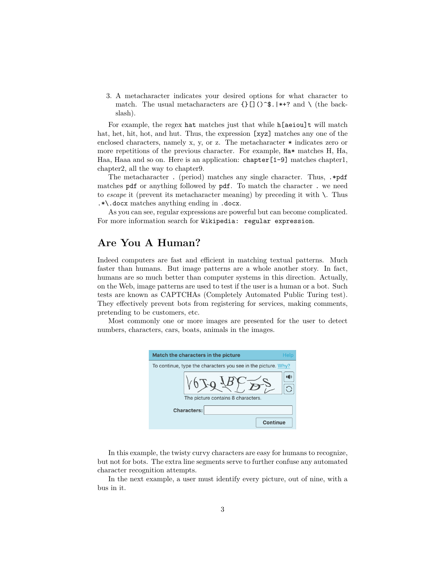3. A metacharacter indicates your desired options for what character to match. The usual metacharacters are  $\{\}\left[\right](\hat{\sigma}^{\ast})$ .  $|\ast+\hat{\sigma}|$  and  $\setminus$  (the backslash).

For example, the regex hat matches just that while h[aeiou]t will match hat, het, hit, hot, and hut. Thus, the expression [xyz] matches any one of the enclosed characters, namely x, y, or z. The metacharacter \* indicates zero or more repetitions of the previous character. For example, Ha\* matches H, Ha, Haa, Haaa and so on. Here is an application: chapter[1-9] matches chapter1, chapter2, all the way to chapter9.

The metacharacter . (period) matches any single character. Thus, .\*pdf matches pdf or anything followed by pdf. To match the character . we need to *escape* it (prevent its metacharacter meaning) by preceding it with \. Thus .\*\.docx matches anything ending in .docx.

As you can see, regular expressions are powerful but can become complicated. For more information search for Wikipedia: regular expression.

#### **Are You A Human?**

Indeed computers are fast and efficient in matching textual patterns. Much faster than humans. But image patterns are a whole another story. In fact, humans are so much better than computer systems in this direction. Actually, on the Web, image patterns are used to test if the user is a human or a bot. Such tests are known as CAPTCHAs (Completely Automated Public Turing test). They effectively prevent bots from registering for services, making comments, pretending to be customers, etc.

Most commonly one or more images are presented for the user to detect numbers, characters, cars, boats, animals in the images.

| Match the characters in the picture                           | Help |
|---------------------------------------------------------------|------|
| To continue, type the characters you see in the picture. Why? |      |
| The picture contains 8 characters.                            | エド   |
| <b>Characters:</b>                                            |      |
| Continue                                                      |      |

In this example, the twisty curvy characters are easy for humans to recognize, but not for bots. The extra line segments serve to further confuse any automated character recognition attempts.

In the next example, a user must identify every picture, out of nine, with a bus in it.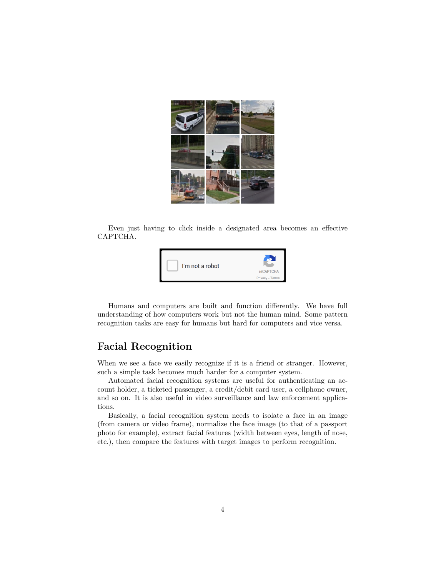

Even just having to click inside a designated area becomes an effective CAPTCHA.



Humans and computers are built and function differently. We have full understanding of how computers work but not the human mind. Some pattern recognition tasks are easy for humans but hard for computers and vice versa.

#### **Facial Recognition**

When we see a face we easily recognize if it is a friend or stranger. However, such a simple task becomes much harder for a computer system.

Automated facial recognition systems are useful for authenticating an account holder, a ticketed passenger, a credit/debit card user, a cellphone owner, and so on. It is also useful in video surveillance and law enforcement applications.

Basically, a facial recognition system needs to isolate a face in an image (from camera or video frame), normalize the face image (to that of a passport photo for example), extract facial features (width between eyes, length of nose, etc.), then compare the features with target images to perform recognition.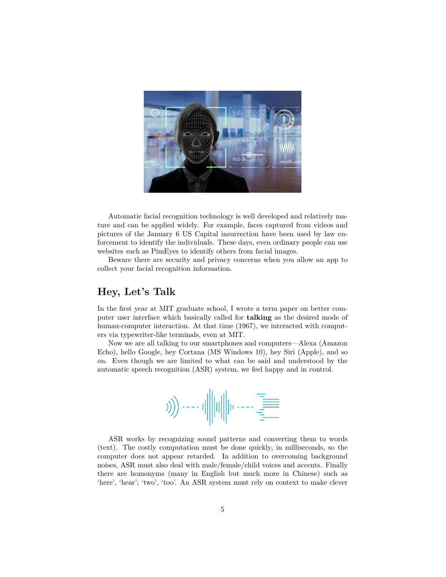

Automatic facial recognition technology is well developed and relatively mature and can be applied widely. For example, faces captured from videos and pictures of the January 6 US Capital insurrection have been used by law enforcement to identify the individuals. These days, even ordinary people can use websites such as PimEyes to identify others from facial images.

Beware there are security and privacy concerns when you allow an app to collect your facial recognition information.

# **Hey, Let's Talk**

In the first year at MIT graduate school, I wrote a term paper on better computer user interface which basically called for **talking** as the desired mode of human-computer interaction. At that time (1967), we interacted with computers via typewriter-like terminals, even at MIT.

Now we are all talking to our smartphones and computers—Alexa (Amazon Echo), hello Google, hey Cortana (MS Windows 10), hey Siri (Apple), and so on. Even though we are limited to what can be said and understood by the automatic speech recognition (ASR) system, we feel happy and in control.



ASR works by recognizing sound patterns and converting them to words (text). The costly computation must be done quickly, in milliseconds, so the computer does not appear retarded. In addition to overcoming background noises, ASR must also deal with male/female/child voices and accents. Finally there are homonyms (many in English but much more in Chinese) such as 'here', 'hear'; 'two', 'too'. An ASR system must rely on context to make clever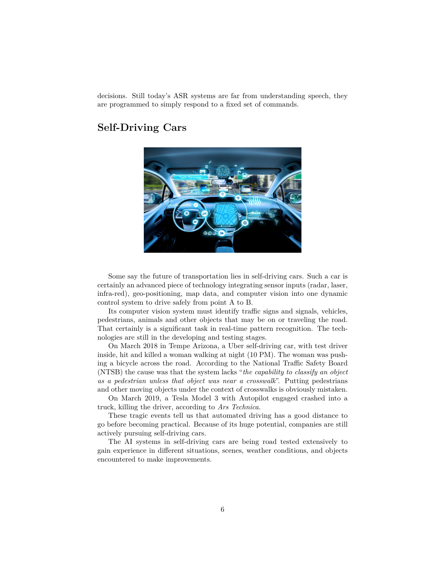decisions. Still today's ASR systems are far from understanding speech, they are programmed to simply respond to a fixed set of commands.

# **Self-Driving Cars**



Some say the future of transportation lies in self-driving cars. Such a car is certainly an advanced piece of technology integrating sensor inputs (radar, laser, infra-red), geo-positioning, map data, and computer vision into one dynamic control system to drive safely from point A to B.

Its computer vision system must identify traffic signs and signals, vehicles, pedestrians, animals and other objects that may be on or traveling the road. That certainly is a significant task in real-time pattern recognition. The technologies are still in the developing and testing stages.

On March 2018 in Tempe Arizona, a Uber self-driving car, with test driver inside, hit and killed a woman walking at night (10 PM). The woman was pushing a bicycle across the road. According to the National Traffic Safety Board (NTSB) the cause was that the system lacks "*the capability to classify an object as a pedestrian unless that object was near a crosswalk*". Putting pedestrians and other moving objects under the context of crosswalks is obviously mistaken.

On March 2019, a Tesla Model 3 with Autopilot engaged crashed into a truck, killing the driver, according to *Ars Technica*.

These tragic events tell us that automated driving has a good distance to go before becoming practical. Because of its huge potential, companies are still actively pursuing self-driving cars.

The AI systems in self-driving cars are being road tested extensively to gain experience in different situations, scenes, weather conditions, and objects encountered to make improvements.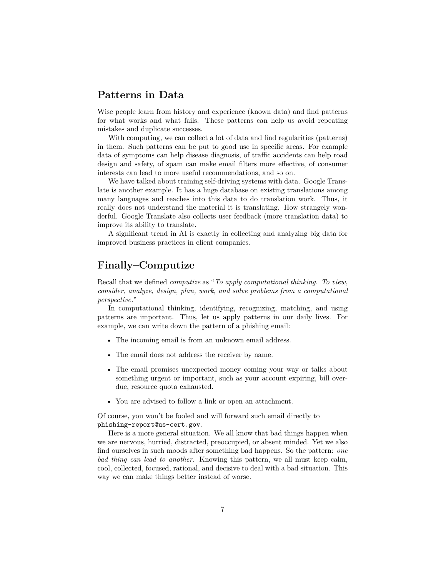#### **Patterns in Data**

Wise people learn from history and experience (known data) and find patterns for what works and what fails. These patterns can help us avoid repeating mistakes and duplicate successes.

With computing, we can collect a lot of data and find regularities (patterns) in them. Such patterns can be put to good use in specific areas. For example data of symptoms can help disease diagnosis, of traffic accidents can help road design and safety, of spam can make email filters more effective, of consumer interests can lead to more useful recommendations, and so on.

We have talked about training self-driving systems with data. Google Translate is another example. It has a huge database on existing translations among many languages and reaches into this data to do translation work. Thus, it really does not understand the material it is translating. How strangely wonderful. Google Translate also collects user feedback (more translation data) to improve its ability to translate.

A significant trend in AI is exactly in collecting and analyzing big data for improved business practices in client companies.

### **Finally–Computize**

Recall that we defined *computize* as "*To apply computational thinking. To view, consider, analyze, design, plan, work, and solve problems from a computational perspective.*"

In computational thinking, identifying, recognizing, matching, and using patterns are important. Thus, let us apply patterns in our daily lives. For example, we can write down the pattern of a phishing email:

- The incoming email is from an unknown email address.
- The email does not address the receiver by name.
- The email promises unexpected money coming your way or talks about something urgent or important, such as your account expiring, bill overdue, resource quota exhausted.
- You are advised to follow a link or open an attachment.

Of course, you won't be fooled and will forward such email directly to phishing-report@us-cert.gov.

Here is a more general situation. We all know that bad things happen when we are nervous, hurried, distracted, preoccupied, or absent minded. Yet we also find ourselves in such moods after something bad happens. So the pattern: *one bad thing can lead to another*. Knowing this pattern, we all must keep calm, cool, collected, focused, rational, and decisive to deal with a bad situation. This way we can make things better instead of worse.